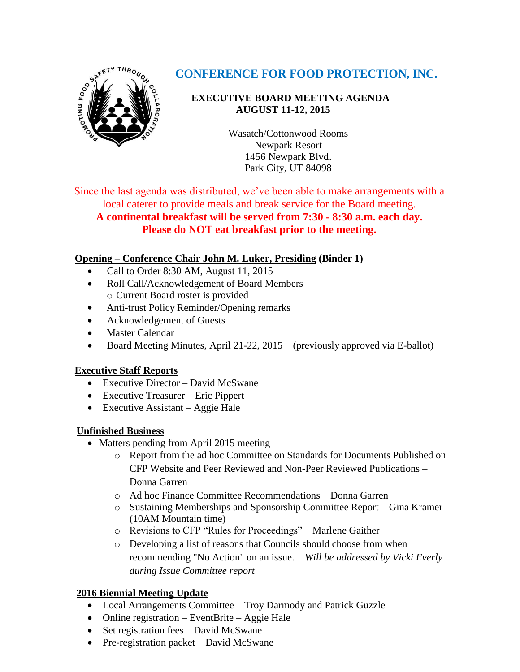

# **CONFERENCE FOR FOOD PROTECTION, INC.**

### **EXECUTIVE BOARD MEETING AGENDA** **AUGUST 11-12, 2015**

Wasatch/Cottonwood Rooms Newpark Resort 1456 Newpark Blvd. Park City, UT 84098

Since the last agenda was distributed, we've been able to make arrangements with a local caterer to provide meals and break service for the Board meeting. **A continental breakfast will be served from 7:30 - 8:30 a.m. each day. Please do NOT eat breakfast prior to the meeting.**

## **Opening – Conference Chair John M. Luker, Presiding (Binder 1)**

- Call to Order 8:30 AM, August 11, 2015
- Roll Call/Acknowledgement of Board Members o Current Board roster is provided
- Anti-trust Policy Reminder/Opening remarks
- Acknowledgement of Guests
- Master Calendar
- Board Meeting Minutes, April 21-22, 2015 (previously approved via E-ballot)

## **Executive Staff Reports**

- Executive Director David McSwane
- Executive Treasurer Eric Pippert
- Executive Assistant Aggie Hale

# **Unfinished Business**

- Matters pending from April 2015 meeting
	- o Report from the ad hoc Committee on Standards for Documents Published on CFP Website and Peer Reviewed and Non-Peer Reviewed Publications – Donna Garren
	- o Ad hoc Finance Committee Recommendations Donna Garren
	- o Sustaining Memberships and Sponsorship Committee Report Gina Kramer (10AM Mountain time)
	- o Revisions to CFP "Rules for Proceedings" Marlene Gaither
	- o Developing a list of reasons that Councils should choose from when recommending "No Action" on an issue. – *Will be addressed by Vicki Everly during Issue Committee report*

# **2016 Biennial Meeting Update**

- Local Arrangements Committee Troy Darmody and Patrick Guzzle
- Online registration EventBrite Aggie Hale
- Set registration fees David McSwane
- Pre-registration packet David McSwane